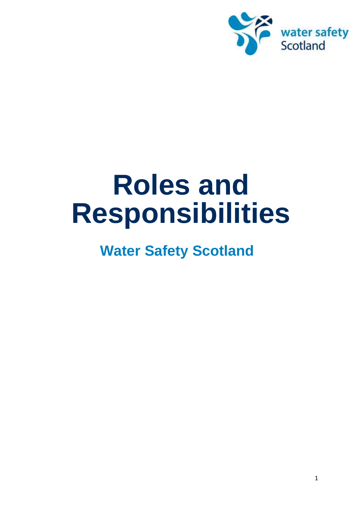

# **Roles and Responsibilities**

# **Water Safety Scotland**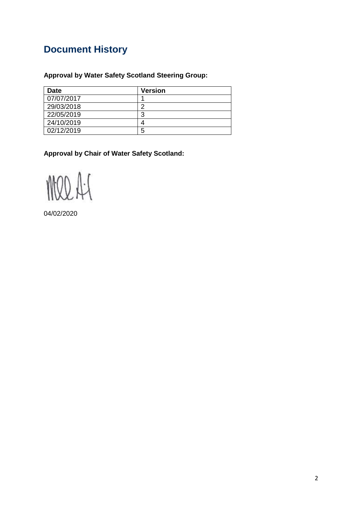## **Document History**

#### **Approval by Water Safety Scotland Steering Group:**

| <b>Date</b> | <b>Version</b> |
|-------------|----------------|
| 07/07/2017  |                |
| 29/03/2018  | ┍              |
| 22/05/2019  | 3              |
| 24/10/2019  |                |
| 02/12/2019  | 5              |

**Approval by Chair of Water Safety Scotland:**

MOD A:S

04/02/2020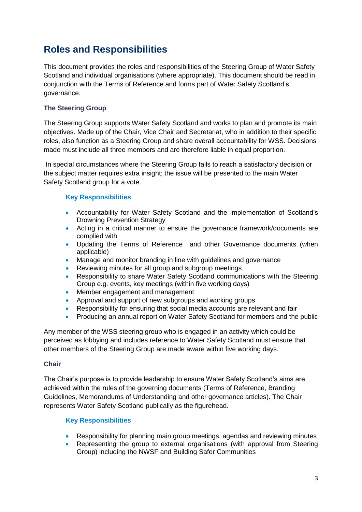## **Roles and Responsibilities**

This document provides the roles and responsibilities of the Steering Group of Water Safety Scotland and individual organisations (where appropriate). This document should be read in conjunction with the Terms of Reference and forms part of Water Safety Scotland's governance.

#### **The Steering Group**

The Steering Group supports Water Safety Scotland and works to plan and promote its main objectives. Made up of the Chair, Vice Chair and Secretariat, who in addition to their specific roles, also function as a Steering Group and share overall accountability for WSS. Decisions made must include all three members and are therefore liable in equal proportion.

In special circumstances where the Steering Group fails to reach a satisfactory decision or the subject matter requires extra insight; the issue will be presented to the main Water Safety Scotland group for a vote.

#### **Key Responsibilities**

- Accountability for Water Safety Scotland and the implementation of Scotland's Drowning Prevention Strategy
- Acting in a critical manner to ensure the governance framework/documents are complied with
- Updating the Terms of Reference and other Governance documents (when applicable)
- Manage and monitor branding in line with guidelines and governance
- Reviewing minutes for all group and subgroup meetings
- Responsibility to share Water Safety Scotland communications with the Steering Group e.g. events, key meetings (within five working days)
- Member engagement and management
- Approval and support of new subgroups and working groups
- Responsibility for ensuring that social media accounts are relevant and fair
- Producing an annual report on Water Safety Scotland for members and the public

Any member of the WSS steering group who is engaged in an activity which could be perceived as lobbying and includes reference to Water Safety Scotland must ensure that other members of the Steering Group are made aware within five working days.

#### **Chair**

The Chair's purpose is to provide leadership to ensure Water Safety Scotland's aims are achieved within the rules of the governing documents (Terms of Reference, Branding Guidelines, Memorandums of Understanding and other governance articles). The Chair represents Water Safety Scotland publically as the figurehead.

#### **Key Responsibilities**

- Responsibility for planning main group meetings, agendas and reviewing minutes
- Representing the group to external organisations (with approval from Steering Group) including the NWSF and Building Safer Communities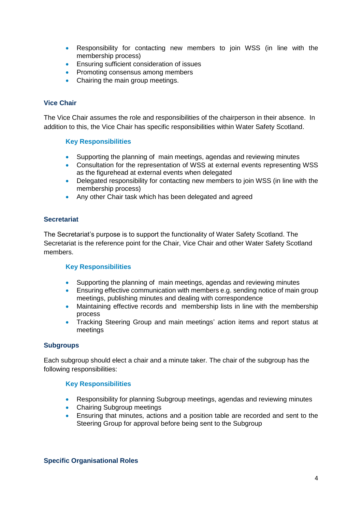- Responsibility for contacting new members to join WSS (in line with the membership process)
- **Ensuring sufficient consideration of issues**
- Promoting consensus among members
- Chairing the main group meetings.

#### **Vice Chair**

The Vice Chair assumes the role and responsibilities of the chairperson in their absence. In addition to this, the Vice Chair has specific responsibilities within Water Safety Scotland.

#### **Key Responsibilities**

- Supporting the planning of main meetings, agendas and reviewing minutes
- Consultation for the representation of WSS at external events representing WSS as the figurehead at external events when delegated
- Delegated responsibility for contacting new members to join WSS (in line with the membership process)
- Any other Chair task which has been delegated and agreed

#### **Secretariat**

The Secretariat's purpose is to support the functionality of Water Safety Scotland. The Secretariat is the reference point for the Chair, Vice Chair and other Water Safety Scotland members.

#### **Key Responsibilities**

- Supporting the planning of main meetings, agendas and reviewing minutes
- Ensuring effective communication with members e.g. sending notice of main group meetings, publishing minutes and dealing with correspondence
- Maintaining effective records and membership lists in line with the membership process
- Tracking Steering Group and main meetings' action items and report status at meetings

#### **Subgroups**

Each subgroup should elect a chair and a minute taker. The chair of the subgroup has the following responsibilities:

#### **Key Responsibilities**

- Responsibility for planning Subgroup meetings, agendas and reviewing minutes
- Chairing Subgroup meetings
- Ensuring that minutes, actions and a position table are recorded and sent to the Steering Group for approval before being sent to the Subgroup

#### **Specific Organisational Roles**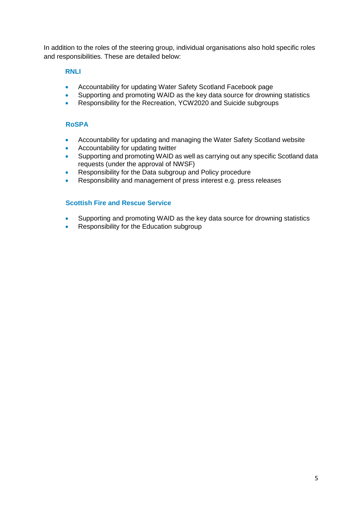In addition to the roles of the steering group, individual organisations also hold specific roles and responsibilities. These are detailed below:

#### **RNLI**

- Accountability for updating Water Safety Scotland Facebook page
- Supporting and promoting WAID as the key data source for drowning statistics
- Responsibility for the Recreation, YCW2020 and Suicide subgroups

#### **RoSPA**

- Accountability for updating and managing the Water Safety Scotland website
- Accountability for updating twitter
- Supporting and promoting WAID as well as carrying out any specific Scotland data requests (under the approval of NWSF)
- Responsibility for the Data subgroup and Policy procedure
- Responsibility and management of press interest e.g. press releases

#### **Scottish Fire and Rescue Service**

- Supporting and promoting WAID as the key data source for drowning statistics
- Responsibility for the Education subgroup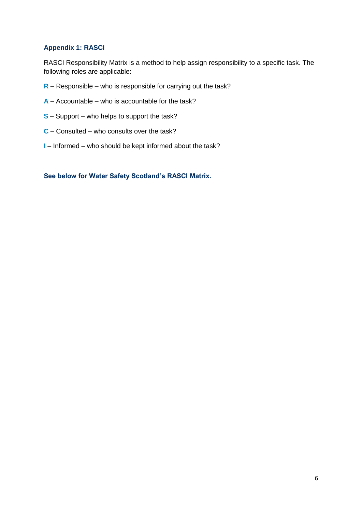#### **Appendix 1: RASCI**

RASCI Responsibility Matrix is a method to help assign responsibility to a specific task. The following roles are applicable:

- **R** Responsible who is responsible for carrying out the task?
- **A** Accountable who is accountable for the task?
- **S** Support who helps to support the task?
- **C** Consulted who consults over the task?
- **I** Informed who should be kept informed about the task?

**See below for Water Safety Scotland's RASCI Matrix.**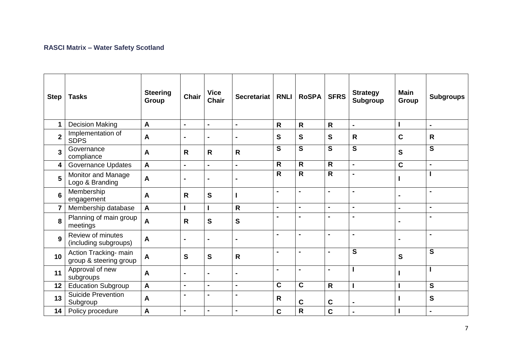#### **RASCI Matrix – Water Safety Scotland**

| <b>Step</b>     | <b>Tasks</b>                                    | <b>Steering</b><br>Group | Chair          | <b>Vice</b><br><b>Chair</b> | <b>Secretariat</b> | <b>RNLI</b>             | <b>RoSPA</b>            | <b>SFRS</b>             | <b>Strategy</b><br><b>Subgroup</b> | <b>Main</b><br>Group | <b>Subgroups</b>        |
|-----------------|-------------------------------------------------|--------------------------|----------------|-----------------------------|--------------------|-------------------------|-------------------------|-------------------------|------------------------------------|----------------------|-------------------------|
| 1               | <b>Decision Making</b>                          | $\mathbf{A}$             | $\blacksquare$ | $\overline{a}$              | $\blacksquare$     | $\mathsf{R}$            | $\overline{\mathsf{R}}$ | $\overline{\mathsf{R}}$ | $\blacksquare$                     |                      | $\blacksquare$          |
| $\mathbf{2}$    | Implementation of<br><b>SDPS</b>                | A                        |                | $\blacksquare$              | $\blacksquare$     | $\mathbf{s}$            | $\mathbf{s}$            | $\mathbf S$             | $\mathsf{R}$                       | $\mathbf C$          | $\mathsf{R}$            |
| 3               | Governance<br>compliance                        | A                        | R              | $\mathsf{R}$                | $\mathsf{R}$       | S                       | $\overline{\mathbf{s}}$ | $\mathbf{s}$            | $\overline{\mathbf{s}}$            | $\mathbf{s}$         | S                       |
| 4               | <b>Governance Updates</b>                       | $\boldsymbol{A}$         | $\blacksquare$ | $\blacksquare$              | $\blacksquare$     | $\mathsf{R}$            | $\mathsf{R}$            | $\mathsf{R}$            | $\blacksquare$                     | $\mathbf C$          | $\blacksquare$          |
| 5               | Monitor and Manage<br>Logo & Branding           | $\mathbf{A}$             |                | $\blacksquare$              |                    | $\overline{\mathsf{R}}$ | $\overline{\mathsf{R}}$ | $\overline{\mathsf{R}}$ | $\blacksquare$                     |                      |                         |
| $6\phantom{1}6$ | Membership<br>engagement                        | $\mathbf{A}$             | $\mathsf{R}$   | S                           | I                  | $\blacksquare$          | $\blacksquare$          | $\blacksquare$          | $\blacksquare$                     | $\blacksquare$       | $\blacksquare$          |
|                 | Membership database                             | $\mathbf{A}$             |                |                             | $\mathsf{R}$       | $\blacksquare$          | $\blacksquare$          | $\blacksquare$          | $\blacksquare$                     | $\blacksquare$       | $\blacksquare$          |
| 8               | Planning of main group<br>meetings              | $\boldsymbol{A}$         | R              | $\mathbf S$                 | $\mathbf{s}$       | $\blacksquare$          | $\blacksquare$          | $\blacksquare$          | $\blacksquare$                     | $\blacksquare$       | $\blacksquare$          |
| 9               | Review of minutes<br>(including subgroups)      | $\boldsymbol{A}$         | $\blacksquare$ | $\blacksquare$              | $\blacksquare$     | $\blacksquare$          | $\blacksquare$          | $\blacksquare$          | $\blacksquare$                     | $\blacksquare$       | $\blacksquare$          |
| 10              | Action Tracking- main<br>group & steering group | $\boldsymbol{A}$         | $\mathbf{s}$   | S                           | $\mathsf{R}$       | $\blacksquare$          | $\blacksquare$          | $\blacksquare$          | $\overline{\mathbf{s}}$            | $\mathbf{s}$         | $\overline{\mathbf{s}}$ |
| 11              | Approval of new<br>subgroups                    | $\boldsymbol{A}$         | $\blacksquare$ | $\blacksquare$              |                    | $\blacksquare$          | $\blacksquare$          | $\blacksquare$          |                                    | I                    |                         |
| 12              | <b>Education Subgroup</b>                       | $\boldsymbol{A}$         | $\blacksquare$ | $\blacksquare$              | $\blacksquare$     | $\mathbf C$             | $\overline{\mathbf{c}}$ | $\mathsf{R}$            |                                    | ı                    | $\mathbf{s}$            |
| 13              | <b>Suicide Prevention</b><br>Subgroup           | A                        | $\blacksquare$ | $\blacksquare$              | $\blacksquare$     | $\mathsf{R}$            | $\mathbf c$             | C                       | $\blacksquare$                     | L                    | S                       |
| 14              | Policy procedure                                | A                        | $\blacksquare$ | $\blacksquare$              | $\blacksquare$     | $\mathbf C$             | $\overline{\mathsf{R}}$ | Ċ                       |                                    |                      | $\blacksquare$          |